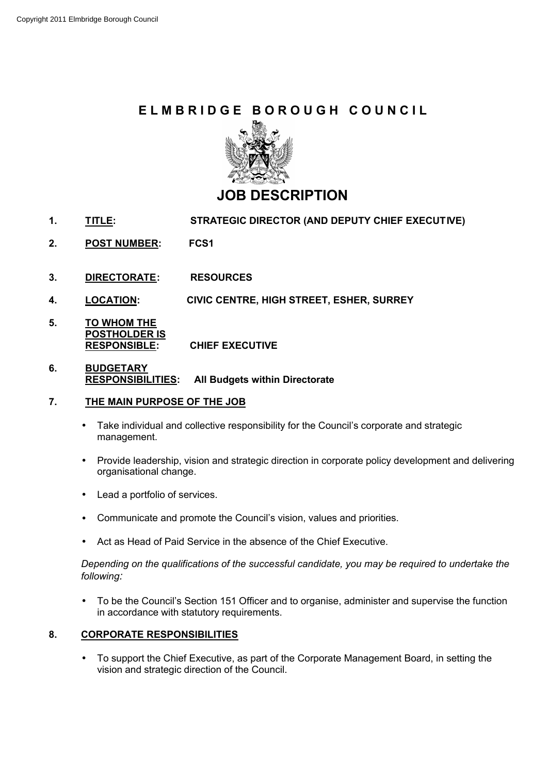# **ELMBRIDGE BOROUGH COUNCIL**



## **JOB DESCRIPTION**

- **1. TITLE: STRATEGIC DIRECTOR (AND DEPUTY CHIEF EXECUTIVE)**
- **2. POST NUMBER: FCS1**
- **3. DIRECTORATE: RESOURCES**
- **4. LOCATION: CIVIC CENTRE, HIGH STREET, ESHER, SURREY**
- **5. TO WHOM THE POSTHOLDER IS RESPONSIBLE: CHIEF EXECUTIVE**
- **6. BUDGETARY RESPONSIBILITIES: All Budgets within Directorate**

#### **7. THE MAIN PURPOSE OF THE JOB**

- Take individual and collective responsibility for the Council's corporate and strategic management.
- Provide leadership, vision and strategic direction in corporate policy development and delivering organisational change.
- Lead a portfolio of services.
- Communicate and promote the Council's vision, values and priorities.
- Act as Head of Paid Service in the absence of the Chief Executive.

*Depending on the qualifications of the successful candidate, you may be required to undertake the following:*

• To be the Council's Section 151 Officer and to organise, administer and supervise the function in accordance with statutory requirements.

## **8. CORPORATE RESPONSIBILITIES**

• To support the Chief Executive, as part of the Corporate Management Board, in setting the vision and strategic direction of the Council.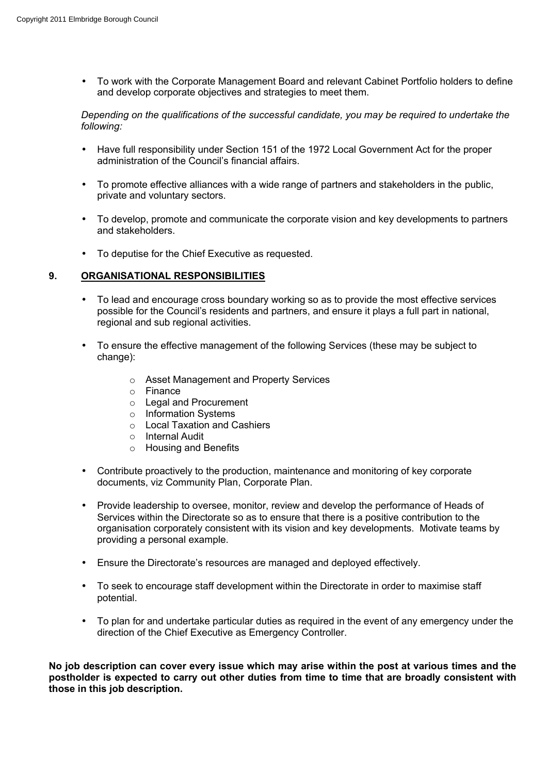• To work with the Corporate Management Board and relevant Cabinet Portfolio holders to define and develop corporate objectives and strategies to meet them.

#### *Depending on the qualifications of the successful candidate, you may be required to undertake the following:*

- Have full responsibility under Section 151 of the 1972 Local Government Act for the proper administration of the Council's financial affairs.
- To promote effective alliances with a wide range of partners and stakeholders in the public, private and voluntary sectors.
- To develop, promote and communicate the corporate vision and key developments to partners and stakeholders.
- To deputise for the Chief Executive as requested.

## **9. ORGANISATIONAL RESPONSIBILITIES**

- To lead and encourage cross boundary working so as to provide the most effective services possible for the Council's residents and partners, and ensure it plays a full part in national, regional and sub regional activities.
- To ensure the effective management of the following Services (these may be subject to change):
	- o Asset Management and Property Services
	- o Finance
	- o Legal and Procurement
	- o Information Systems
	- o Local Taxation and Cashiers
	- o Internal Audit
	- o Housing and Benefits
- Contribute proactively to the production, maintenance and monitoring of key corporate documents, viz Community Plan, Corporate Plan.
- Provide leadership to oversee, monitor, review and develop the performance of Heads of Services within the Directorate so as to ensure that there is a positive contribution to the organisation corporately consistent with its vision and key developments. Motivate teams by providing a personal example.
- Ensure the Directorate's resources are managed and deployed effectively.
- To seek to encourage staff development within the Directorate in order to maximise staff potential.
- To plan for and undertake particular duties as required in the event of any emergency under the direction of the Chief Executive as Emergency Controller.

**No job description can cover every issue which may arise within the post at various times and the postholder is expected to carry out other duties from time to time that are broadly consistent with those in this job description.**